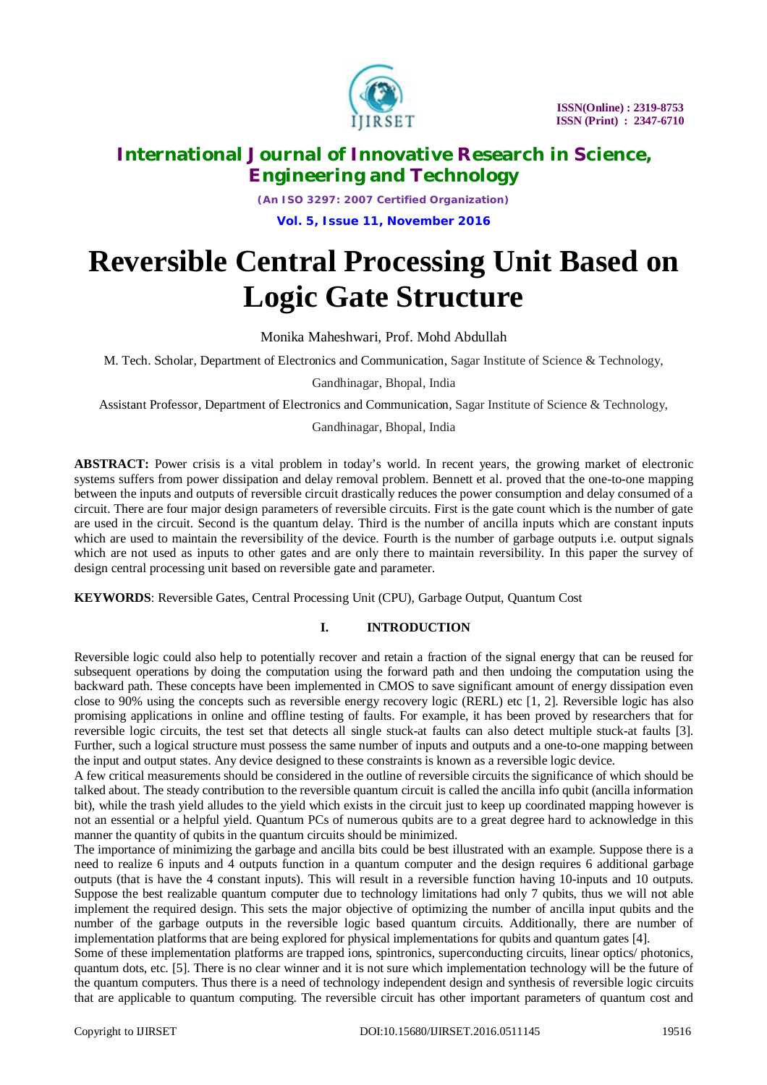

*(An ISO 3297: 2007 Certified Organization)* **Vol. 5, Issue 11, November 2016**

# **Reversible Central Processing Unit Based on Logic Gate Structure**

Monika Maheshwari, Prof. Mohd Abdullah

M. Tech. Scholar, Department of Electronics and Communication, Sagar Institute of Science & Technology,

Gandhinagar, Bhopal, India

Assistant Professor, Department of Electronics and Communication, Sagar Institute of Science & Technology,

Gandhinagar, Bhopal, India

**ABSTRACT:** Power crisis is a vital problem in today's world. In recent years, the growing market of electronic systems suffers from power dissipation and delay removal problem. Bennett et al. proved that the one-to-one mapping between the inputs and outputs of reversible circuit drastically reduces the power consumption and delay consumed of a circuit. There are four major design parameters of reversible circuits. First is the gate count which is the number of gate are used in the circuit. Second is the quantum delay. Third is the number of ancilla inputs which are constant inputs which are used to maintain the reversibility of the device. Fourth is the number of garbage outputs i.e. output signals which are not used as inputs to other gates and are only there to maintain reversibility. In this paper the survey of design central processing unit based on reversible gate and parameter.

**KEYWORDS**: Reversible Gates, Central Processing Unit (CPU), Garbage Output, Quantum Cost

#### **I. INTRODUCTION**

Reversible logic could also help to potentially recover and retain a fraction of the signal energy that can be reused for subsequent operations by doing the computation using the forward path and then undoing the computation using the backward path. These concepts have been implemented in CMOS to save significant amount of energy dissipation even close to 90% using the concepts such as reversible energy recovery logic (RERL) etc [1, 2]. Reversible logic has also promising applications in online and offline testing of faults. For example, it has been proved by researchers that for reversible logic circuits, the test set that detects all single stuck-at faults can also detect multiple stuck-at faults [3]. Further, such a logical structure must possess the same number of inputs and outputs and a one-to-one mapping between the input and output states. Any device designed to these constraints is known as a reversible logic device.

A few critical measurements should be considered in the outline of reversible circuits the significance of which should be talked about. The steady contribution to the reversible quantum circuit is called the ancilla info qubit (ancilla information bit), while the trash yield alludes to the yield which exists in the circuit just to keep up coordinated mapping however is not an essential or a helpful yield. Quantum PCs of numerous qubits are to a great degree hard to acknowledge in this manner the quantity of qubits in the quantum circuits should be minimized.

The importance of minimizing the garbage and ancilla bits could be best illustrated with an example. Suppose there is a need to realize 6 inputs and 4 outputs function in a quantum computer and the design requires 6 additional garbage outputs (that is have the 4 constant inputs). This will result in a reversible function having 10-inputs and 10 outputs. Suppose the best realizable quantum computer due to technology limitations had only 7 qubits, thus we will not able implement the required design. This sets the major objective of optimizing the number of ancilla input qubits and the number of the garbage outputs in the reversible logic based quantum circuits. Additionally, there are number of implementation platforms that are being explored for physical implementations for qubits and quantum gates [4].

Some of these implementation platforms are trapped ions, spintronics, superconducting circuits, linear optics/ photonics, quantum dots, etc. [5]. There is no clear winner and it is not sure which implementation technology will be the future of the quantum computers. Thus there is a need of technology independent design and synthesis of reversible logic circuits that are applicable to quantum computing. The reversible circuit has other important parameters of quantum cost and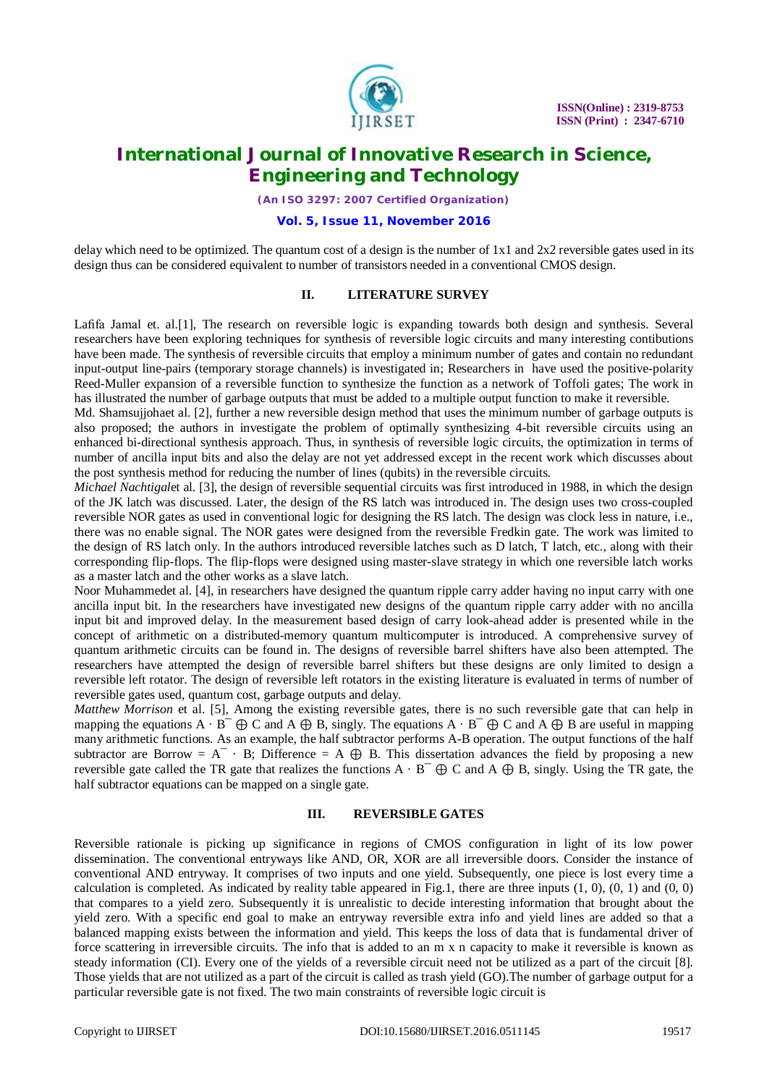

*(An ISO 3297: 2007 Certified Organization)*

#### **Vol. 5, Issue 11, November 2016**

delay which need to be optimized. The quantum cost of a design is the number of  $1x1$  and  $2x2$  reversible gates used in its design thus can be considered equivalent to number of transistors needed in a conventional CMOS design.

#### **II. LITERATURE SURVEY**

Lafifa Jamal et. al.[1], The research on reversible logic is expanding towards both design and synthesis. Several researchers have been exploring techniques for synthesis of reversible logic circuits and many interesting contibutions have been made. The synthesis of reversible circuits that employ a minimum number of gates and contain no redundant input-output line-pairs (temporary storage channels) is investigated in; Researchers in have used the positive-polarity Reed-Muller expansion of a reversible function to synthesize the function as a network of Toffoli gates; The work in has illustrated the number of garbage outputs that must be added to a multiple output function to make it reversible.

Md. Shamsujjohaet al. [2], further a new reversible design method that uses the minimum number of garbage outputs is also proposed; the authors in investigate the problem of optimally synthesizing 4-bit reversible circuits using an enhanced bi-directional synthesis approach. Thus, in synthesis of reversible logic circuits, the optimization in terms of number of ancilla input bits and also the delay are not yet addressed except in the recent work which discusses about the post synthesis method for reducing the number of lines (qubits) in the reversible circuits.

*Michael Nachtigal*et al. [3], the design of reversible sequential circuits was first introduced in 1988, in which the design of the JK latch was discussed. Later, the design of the RS latch was introduced in. The design uses two cross-coupled reversible NOR gates as used in conventional logic for designing the RS latch. The design was clock less in nature, i.e., there was no enable signal. The NOR gates were designed from the reversible Fredkin gate. The work was limited to the design of RS latch only. In the authors introduced reversible latches such as D latch, T latch, etc., along with their corresponding flip-flops. The flip-flops were designed using master-slave strategy in which one reversible latch works as a master latch and the other works as a slave latch.

Noor Muhammedet al. [4], in researchers have designed the quantum ripple carry adder having no input carry with one ancilla input bit. In the researchers have investigated new designs of the quantum ripple carry adder with no ancilla input bit and improved delay. In the measurement based design of carry look-ahead adder is presented while in the concept of arithmetic on a distributed-memory quantum multicomputer is introduced. A comprehensive survey of quantum arithmetic circuits can be found in. The designs of reversible barrel shifters have also been attempted. The researchers have attempted the design of reversible barrel shifters but these designs are only limited to design a reversible left rotator. The design of reversible left rotators in the existing literature is evaluated in terms of number of reversible gates used, quantum cost, garbage outputs and delay.

*Matthew Morrison* et al. [5], Among the existing reversible gates, there is no such reversible gate that can help in mapping the equations  $A \cdot B^{-} \oplus C$  and  $A \oplus B$ , singly. The equations  $A \cdot B^{-} \oplus C$  and  $A \oplus B$  are useful in mapping many arithmetic functions. As an example, the half subtractor performs A-B operation. The output functions of the half subtractor are Borrow =  $A^T \cdot B$ ; Difference =  $A \oplus B$ . This dissertation advances the field by proposing a new reversible gate called the TR gate that realizes the functions  $A \cdot B^{-} \oplus C$  and  $A \oplus B$ , singly. Using the TR gate, the half subtractor equations can be mapped on a single gate.

#### **III. REVERSIBLE GATES**

Reversible rationale is picking up significance in regions of CMOS configuration in light of its low power dissemination. The conventional entryways like AND, OR, XOR are all irreversible doors. Consider the instance of conventional AND entryway. It comprises of two inputs and one yield. Subsequently, one piece is lost every time a calculation is completed. As indicated by reality table appeared in Fig.1, there are three inputs  $(1, 0)$ ,  $(0, 1)$  and  $(0, 0)$ that compares to a yield zero. Subsequently it is unrealistic to decide interesting information that brought about the yield zero. With a specific end goal to make an entryway reversible extra info and yield lines are added so that a balanced mapping exists between the information and yield. This keeps the loss of data that is fundamental driver of force scattering in irreversible circuits. The info that is added to an m x n capacity to make it reversible is known as steady information (CI). Every one of the yields of a reversible circuit need not be utilized as a part of the circuit [8]. Those yields that are not utilized as a part of the circuit is called as trash yield (GO).The number of garbage output for a particular reversible gate is not fixed. The two main constraints of reversible logic circuit is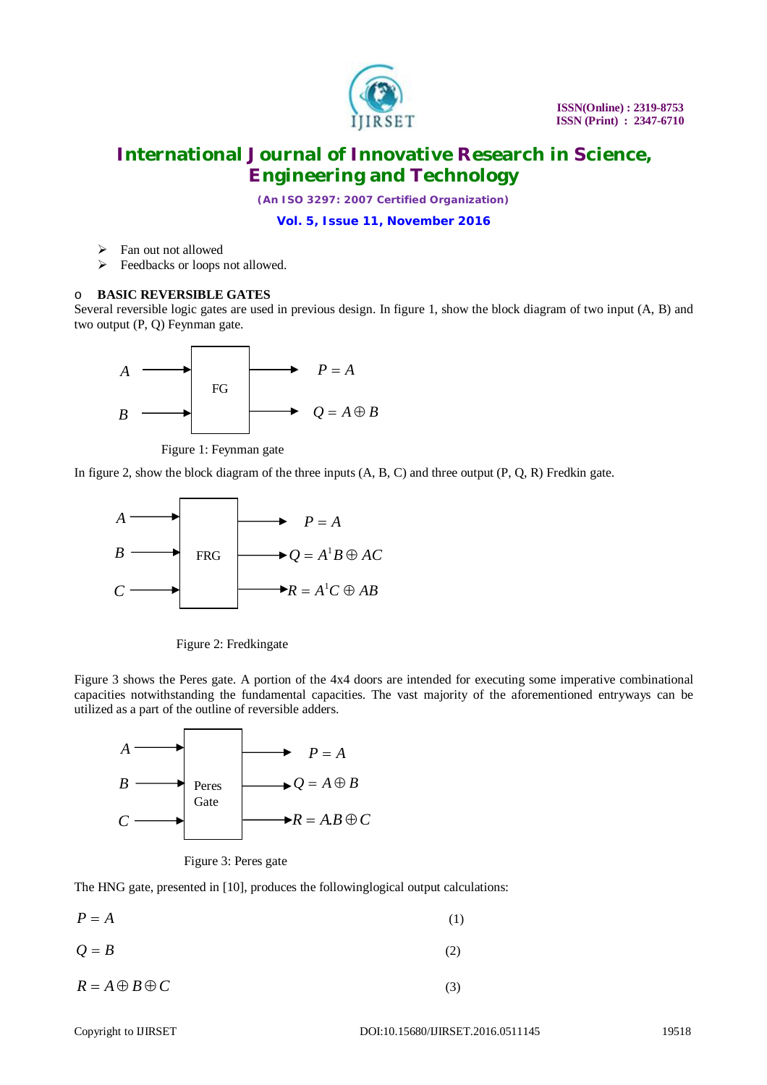

*(An ISO 3297: 2007 Certified Organization)*

**Vol. 5, Issue 11, November 2016**

- Fan out not allowed
- Feedbacks or loops not allowed.

#### o **BASIC REVERSIBLE GATES**

Several reversible logic gates are used in previous design. In figure 1, show the block diagram of two input (A, B) and two output (P, Q) Feynman gate.



Figure 1: Feynman gate

In figure 2, show the block diagram of the three inputs (A, B, C) and three output (P, Q, R) Fredkin gate.



Figure 2: Fredkingate

Figure 3 shows the Peres gate. A portion of the 4x4 doors are intended for executing some imperative combinational capacities notwithstanding the fundamental capacities. The vast majority of the aforementioned entryways can be utilized as a part of the outline of reversible adders.



Figure 3: Peres gate

The HNG gate, presented in [10], produces the followinglogical output calculations:

 $P = A$  (1)

 $Q = B$  (2)

 $R = A \oplus B \oplus C$  (3)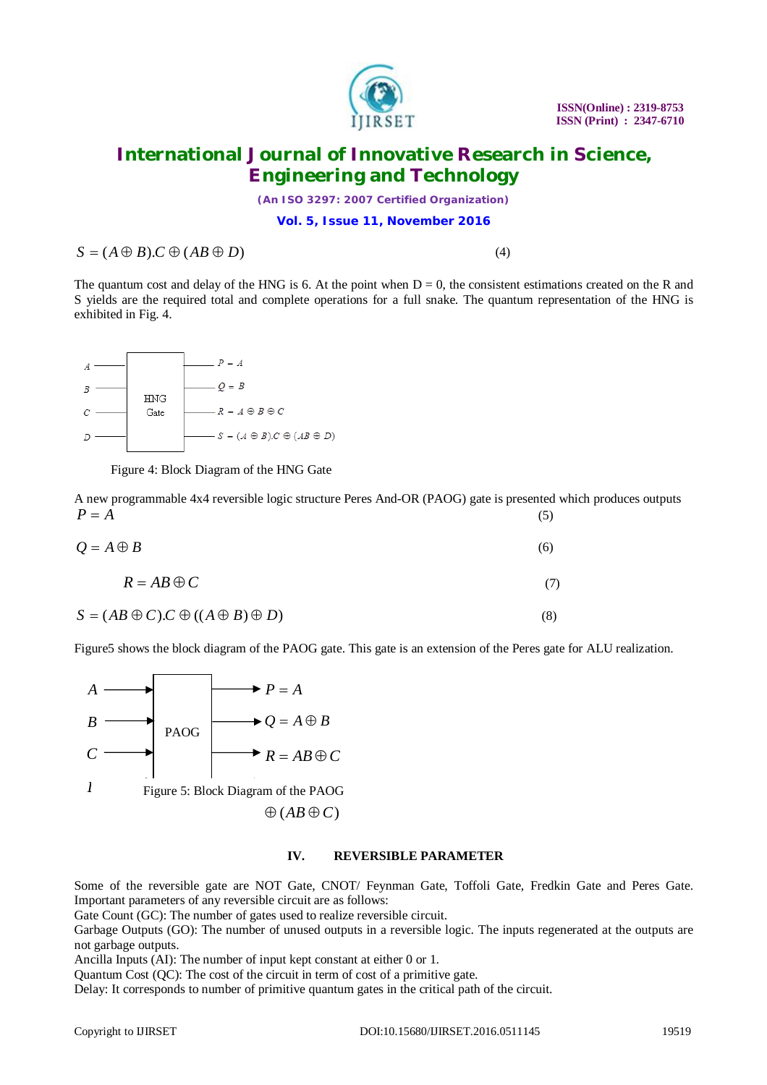

*(An ISO 3297: 2007 Certified Organization)*

**Vol. 5, Issue 11, November 2016**

 $S = (A \oplus B) \cdot C \oplus (AB \oplus D)$  (4)

The quantum cost and delay of the HNG is 6. At the point when  $D = 0$ , the consistent estimations created on the R and S yields are the required total and complete operations for a full snake. The quantum representation of the HNG is exhibited in Fig. 4.



Figure 4: Block Diagram of the HNG Gate

A new programmable 4x4 reversible logic structure Peres And-OR (PAOG) gate is presented which produces outputs  $P = A$  (5)

| $Q = A \oplus B$ | (6) |
|------------------|-----|

$$
R = AB \oplus C \tag{7}
$$

$$
S = (AB \oplus C).C \oplus ((A \oplus B) \oplus D) \tag{8}
$$

Figure5 shows the block diagram of the PAOG gate. This gate is an extension of the Peres gate for ALU realization.



#### **IV. REVERSIBLE PARAMETER**

Some of the reversible gate are NOT Gate, CNOT/ Feynman Gate, Toffoli Gate, Fredkin Gate and Peres Gate. Important parameters of any reversible circuit are as follows:

Gate Count (GC): The number of gates used to realize reversible circuit.

Garbage Outputs (GO): The number of unused outputs in a reversible logic. The inputs regenerated at the outputs are not garbage outputs.

Ancilla Inputs (AI): The number of input kept constant at either 0 or 1.

Quantum Cost (QC): The cost of the circuit in term of cost of a primitive gate.

Delay: It corresponds to number of primitive quantum gates in the critical path of the circuit.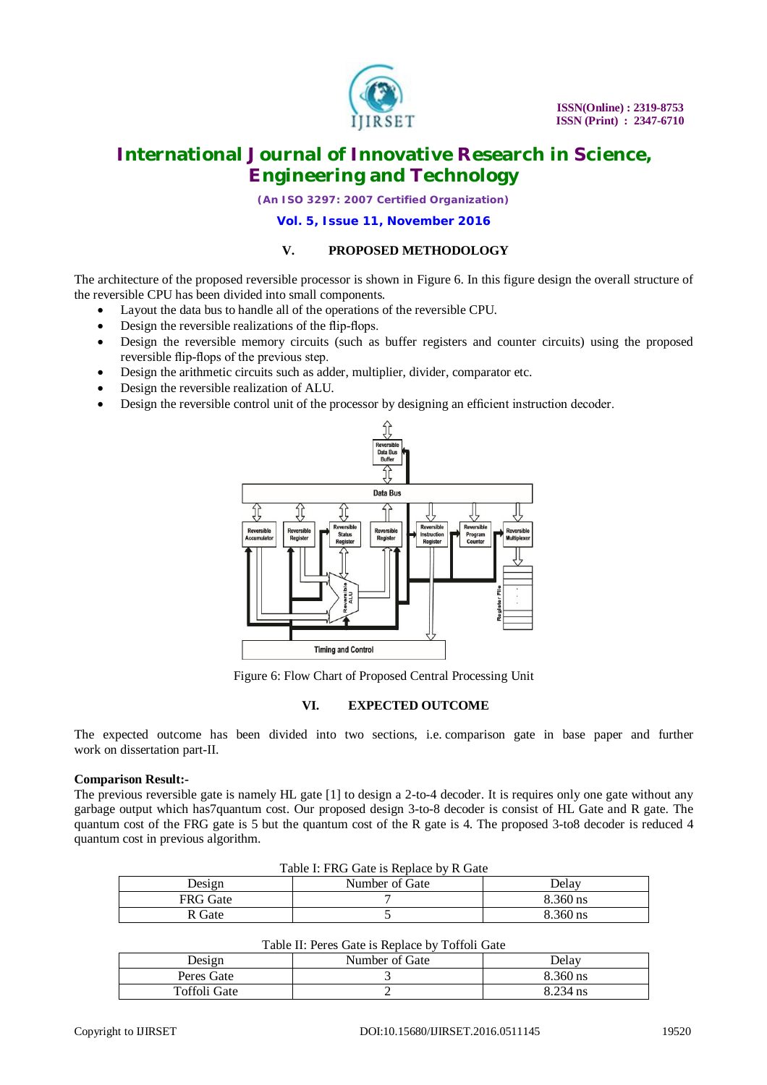

*(An ISO 3297: 2007 Certified Organization)*

**Vol. 5, Issue 11, November 2016**

#### **V. PROPOSED METHODOLOGY**

The architecture of the proposed reversible processor is shown in Figure 6. In this figure design the overall structure of the reversible CPU has been divided into small components.

- Layout the data bus to handle all of the operations of the reversible CPU.
- Design the reversible realizations of the flip-flops.
- Design the reversible memory circuits (such as buffer registers and counter circuits) using the proposed reversible flip-flops of the previous step.
- Design the arithmetic circuits such as adder, multiplier, divider, comparator etc.
- Design the reversible realization of ALU.
- Design the reversible control unit of the processor by designing an efficient instruction decoder.



Figure 6: Flow Chart of Proposed Central Processing Unit

#### **VI. EXPECTED OUTCOME**

The expected outcome has been divided into two sections, i.e. comparison gate in base paper and further work on dissertation part-II.

#### **Comparison Result:-**

The previous reversible gate is namely HL gate [1] to design a 2-to-4 decoder. It is requires only one gate without any garbage output which has7quantum cost. Our proposed design 3-to-8 decoder is consist of HL Gate and R gate. The quantum cost of the FRG gate is 5 but the quantum cost of the R gate is 4. The proposed 3-to8 decoder is reduced 4 quantum cost in previous algorithm.

| Table I: FRG Gate is Replace by R Gate |                |          |  |  |
|----------------------------------------|----------------|----------|--|--|
| Design                                 | Number of Gate | Delav    |  |  |
| <b>FRG</b> Gate                        |                | 8.360 ns |  |  |
| R Gate                                 |                | 8.360 ns |  |  |

### Table II: Peres Gate is Replace by Toffoli Gate

| Table 11. I Cres Gate is Replace by Toffoll Gate |                |          |  |  |
|--------------------------------------------------|----------------|----------|--|--|
| Design                                           | Number of Gate | Delav    |  |  |
| Peres Gate                                       |                | 8.360 ns |  |  |
| Toffoli Gate                                     |                | 8.234 ns |  |  |